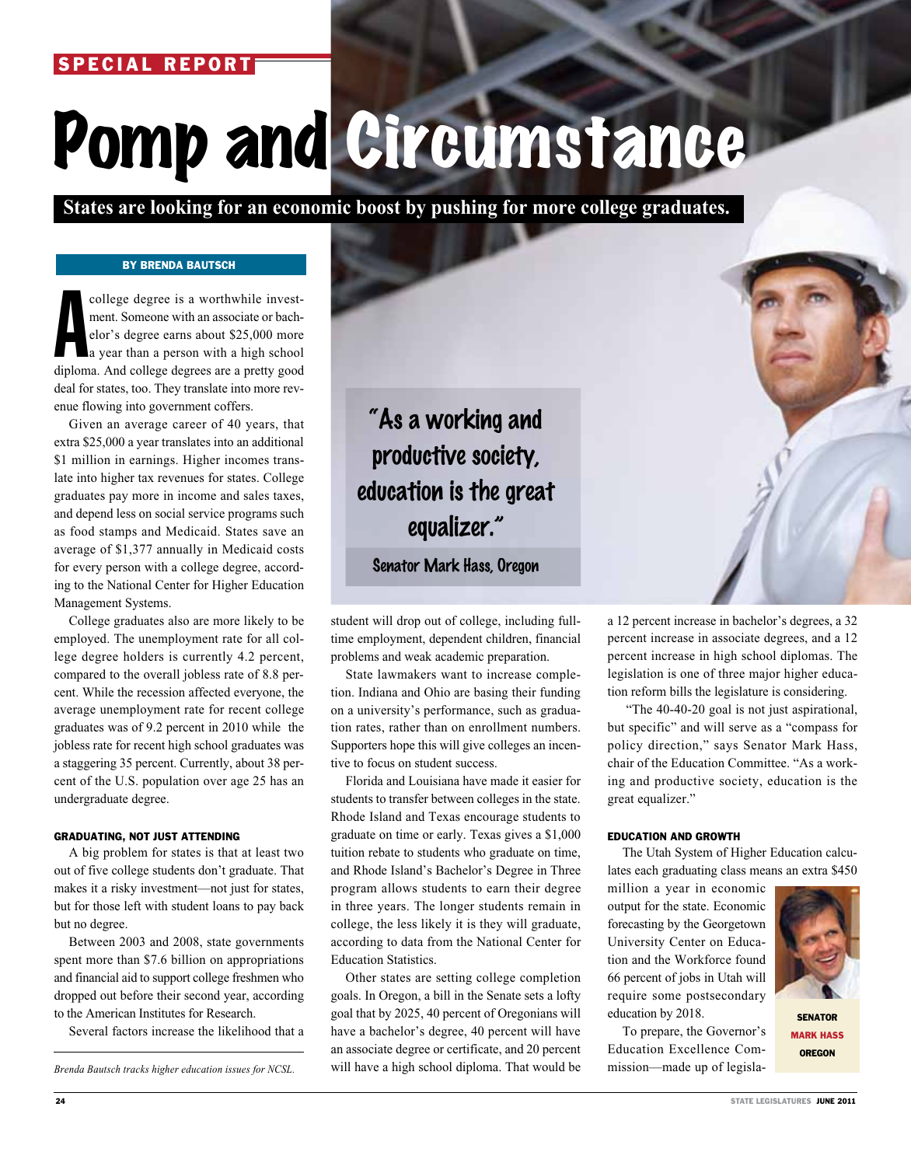## SPECIAL REPORT

# Pomp and Circumstance

 **States are looking for an economic boost by pushing for more college graduates.**

### By Brenda Bautsch

college degree is a worthwhile invest-<br>ment. Someone with an associate or bach-<br>elor's degree earns about \$25,000 more<br>a year than a person with a high school<br>diploma. And college degrees are a pretty good ment. Someone with an associate or bachelor's degree earns about \$25,000 more a year than a person with a high school deal for states, too. They translate into more revenue flowing into government coffers.

Given an average career of 40 years, that extra \$25,000 a year translates into an additional \$1 million in earnings. Higher incomes translate into higher tax revenues for states. College graduates pay more in income and sales taxes, and depend less on social service programs such as food stamps and Medicaid. States save an average of \$1,377 annually in Medicaid costs for every person with a college degree, according to the National Center for Higher Education Management Systems.

College graduates also are more likely to be employed. The unemployment rate for all college degree holders is currently 4.2 percent, compared to the overall jobless rate of 8.8 percent. While the recession affected everyone, the average unemployment rate for recent college graduates was of 9.2 percent in 2010 while the jobless rate for recent high school graduates was a staggering 35 percent. Currently, about 38 percent of the U.S. population over age 25 has an undergraduate degree.

#### GRADUATING, NOT JUST ATTENDING

A big problem for states is that at least two out of five college students don't graduate. That makes it a risky investment—not just for states, but for those left with student loans to pay back but no degree.

Between 2003 and 2008, state governments spent more than \$7.6 billion on appropriations and financial aid to support college freshmen who dropped out before their second year, according to the American Institutes for Research.

Several factors increase the likelihood that a

"As a working and productive society, education is the great equalizer."

Senator Mark Hass, Oregon

student will drop out of college, including fulltime employment, dependent children, financial problems and weak academic preparation.

State lawmakers want to increase completion. Indiana and Ohio are basing their funding on a university's performance, such as graduation rates, rather than on enrollment numbers. Supporters hope this will give colleges an incentive to focus on student success.

Florida and Louisiana have made it easier for students to transfer between colleges in the state. Rhode Island and Texas encourage students to graduate on time or early. Texas gives a \$1,000 tuition rebate to students who graduate on time, and Rhode Island's Bachelor's Degree in Three program allows students to earn their degree in three years. The longer students remain in college, the less likely it is they will graduate, according to data from the National Center for Education Statistics.

Other states are setting college completion goals. In Oregon, a bill in the Senate sets a lofty goal that by 2025, 40 percent of Oregonians will have a bachelor's degree, 40 percent will have an associate degree or certificate, and 20 percent Brenda Bautsch tracks higher education issues for NCSL. Will have a high school diploma. That would be mission—made up of legisla-

a 12 percent increase in bachelor's degrees, a 32 percent increase in associate degrees, and a 12 percent increase in high school diplomas. The legislation is one of three major higher education reform bills the legislature is considering.

 "The 40-40-20 goal is not just aspirational, but specific" and will serve as a "compass for policy direction," says Senator Mark Hass, chair of the Education Committee. "As a working and productive society, education is the great equalizer."

#### EDUCATION AND GROWTH

The Utah System of Higher Education calculates each graduating class means an extra \$450

million a year in economic output for the state. Economic forecasting by the Georgetown University Center on Education and the Workforce found 66 percent of jobs in Utah will require some postsecondary education by 2018.

To prepare, the Governor's Education Excellence Com-



**SENATOR** Mark Hass **OREGON**